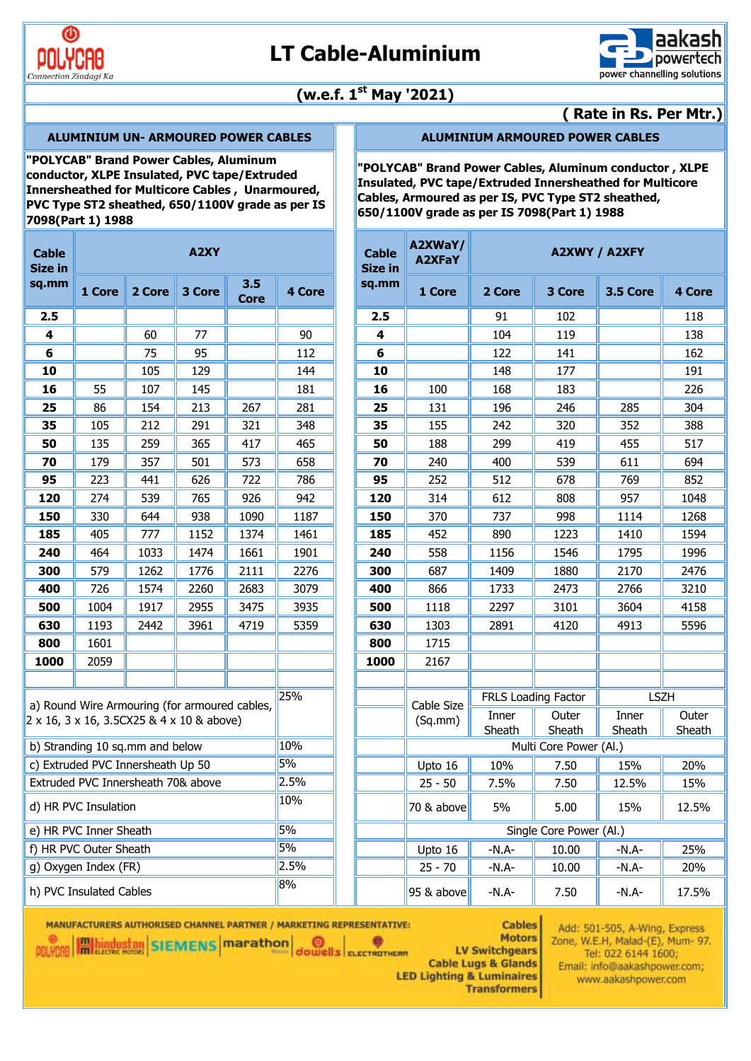



**( Rate in Rs. Per Mtr.)**

#### **ALUMINIUM UN- ARMOURED POWER CABLES ALUMINIUM ARMOURED POWER CABLES**

**"POLYCAB" Brand Power Cables, Aluminum conductor, XLPE Insulated, PVC tape/Extruded Innersheathed for Multicore Cables , Unarmoured, PVC Type ST2 sheathed, 650/1100V grade as per IS 7098(Part 1) 1988**

| Cable<br><b>Size in</b> |                                                                                            |        |        |             | Cable<br>Size in | A2XWa<br>A2XFa |         |                   |
|-------------------------|--------------------------------------------------------------------------------------------|--------|--------|-------------|------------------|----------------|---------|-------------------|
| sq.mm                   | 1 Core                                                                                     | 2 Core | 3 Core | 3.5<br>Core | 4 Core           |                | sq.mm   | 1 Cor             |
| 2.5                     |                                                                                            |        |        |             |                  |                | 2.5     |                   |
| 4                       |                                                                                            | 60     | 77     |             | 90               |                | 4       |                   |
| 6                       |                                                                                            | 75     | 95     |             | 112              |                | 6       |                   |
| 10                      |                                                                                            | 105    | 129    |             | 144              |                | 10      |                   |
| 16                      | 55                                                                                         | 107    | 145    |             | 181              |                | 16      | 100               |
| 25                      | 86                                                                                         | 154    | 213    | 267         | 281              |                | 25      | 131               |
| 35                      | 105                                                                                        | 212    | 291    | 321         | 348              |                | 35      | 155               |
| 50                      | 135                                                                                        | 259    | 365    | 417         | 465              |                | 50      | 188               |
| 70                      | 179                                                                                        | 357    | 501    | 573         | 658              |                | 70      | 240               |
| 95                      | 223                                                                                        | 441    | 626    | 722         | 786              |                | 95      | 252               |
| 120                     | 274                                                                                        | 539    | 765    | 926         | 942              |                | 120     | 314               |
| 150                     | 330                                                                                        | 644    | 938    | 1090        | 1187             |                | 150     | 370               |
| 185                     | 405                                                                                        | 777    | 1152   | 1374        | 1461             |                | 185     | 452               |
| 240                     | 464                                                                                        | 1033   | 1474   | 1661        | 1901             |                | 240     | 558               |
| 300                     | 579                                                                                        | 1262   | 1776   | 2111        | 2276             |                | 300     | 687               |
| 400                     | 726                                                                                        | 1574   | 2260   | 2683        | 3079             |                | 400     | 866               |
| 500                     | 1004                                                                                       | 1917   | 2955   | 3475        | 3935             |                | 500     | 1118              |
| 630                     | 1193                                                                                       | 2442   | 3961   | 4719        | 5359             |                | 630     | 1303              |
| 800                     | 1601                                                                                       |        |        |             |                  |                | 800     | 1715              |
| 1000                    | 2059                                                                                       |        |        |             |                  |                | 1000    | 2167              |
|                         |                                                                                            |        |        |             |                  |                |         |                   |
|                         | a) Round Wire Armouring (for armoured cables,<br>2 x 16, 3 x 16, 3.5CX25 & 4 x 10 & above) |        |        |             | 25%              |                |         | Cable S<br>(Sq.mr |
|                         | b) Stranding 10 sq.mm and below                                                            |        |        |             | 10%              |                |         |                   |
|                         | c) Extruded PVC Innersheath Up 50                                                          |        | 5%     |             |                  | Upto 1         |         |                   |
|                         | Extruded PVC Innersheath 70& above                                                         |        | 2.5%   |             |                  | $25 - 5$       |         |                   |
|                         | d) HR PVC Insulation                                                                       |        |        | 10%         |                  |                | 70 & ab |                   |
|                         | e) HR PVC Inner Sheath                                                                     |        |        |             | 5%               |                |         |                   |
|                         | f) HR PVC Outer Sheath                                                                     |        |        |             | 5%               |                |         | Upto 1            |
|                         |                                                                                            |        |        |             | 2.5%             |                |         | 25 - 7            |
|                         | g) Oxygen Index (FR)<br>8%<br>h) PVC Insulated Cables                                      |        |        |             |                  |                |         | 95 & ab           |

**"POLYCAB" Brand Power Cables, Aluminum conductor , XLPE Insulated, PVC tape/Extruded Innersheathed for Multicore Cables, Armoured as per IS, PVC Type ST2 sheathed, 650/1100V grade as per IS 7098(Part 1) 1988**

| `able<br>ize in |                             |                                   | A2XY                                       |                    |        | <b>Cable</b><br>Size in | A2XWaY/<br>A2XWY / A2XFY<br><b>A2XFaY</b> |                     |                         |                 |                 |
|-----------------|-----------------------------|-----------------------------------|--------------------------------------------|--------------------|--------|-------------------------|-------------------------------------------|---------------------|-------------------------|-----------------|-----------------|
| q.mm            | 1 Core                      | 2 Core                            | 3 Core                                     | 3.5<br><b>Core</b> | 4 Core | sq.mm                   | 1 Core                                    | 2 Core              | 3 Core                  | 3.5 Core        | 4 Core          |
| 2.5             |                             |                                   |                                            |                    |        | 2.5                     |                                           | 91                  | 102                     |                 | 118             |
| 4               |                             | 60                                | 77                                         |                    | 90     | 4                       |                                           | 104                 | 119                     |                 | 138             |
| 6               |                             | 75                                | 95                                         |                    | 112    | 6                       |                                           | 122                 | 141                     |                 | 162             |
| 10              |                             | 105                               | 129                                        |                    | 144    | 10                      |                                           | 148                 | 177                     |                 | 191             |
| 16              | 55                          | 107                               | 145                                        |                    | 181    | 16                      | 100                                       | 168                 | 183                     |                 | 226             |
| 25              | 86                          | 154                               | 213                                        | 267                | 281    | 25                      | 131                                       | 196                 | 246                     | 285             | 304             |
| 35              | 105                         | 212                               | 291                                        | 321                | 348    | 35                      | 155                                       | 242                 | 320                     | 352             | 388             |
| 50              | 135                         | 259                               | 365                                        | 417                | 465    | 50                      | 188                                       | 299                 | 419                     | 455             | 517             |
| 70              | 179                         | 357                               | 501                                        | 573                | 658    | 70                      | 240                                       | 400                 | 539                     | 611             | 694             |
| 95              | 223                         | 441                               | 626                                        | 722                | 786    | 95                      | 252                                       | 512                 | 678                     | 769             | 852             |
| 120             | 274                         | 539                               | 765                                        | 926                | 942    | 120                     | 314                                       | 612                 | 808                     | 957             | 1048            |
| 150             | 330                         | 644                               | 938                                        | 1090               | 1187   | 150                     | 370                                       | 737                 | 998                     | 1114            | 1268            |
| 185             | 405                         | 777                               | 1152                                       | 1374               | 1461   | 185                     | 452                                       | 890                 | 1223                    | 1410            | 1594            |
| 240             | 464                         | 1033                              | 1474                                       | 1661               | 1901   | 240                     | 558                                       | 1156                | 1546                    | 1795            | 1996            |
| 300             | 579                         | 1262                              | 1776                                       | 2111               | 2276   | 300                     | 687                                       | 1409                | 1880                    | 2170            | 2476            |
| 400             | 726                         | 1574                              | 2260                                       | 2683               | 3079   | 400                     | 866                                       | 1733                | 2473                    | 2766            | 3210            |
| 500             | 1004                        | 1917                              | 2955                                       | 3475               | 3935   | 500                     | 1118                                      | 2297                | 3101                    | 3604            | 4158            |
| 630             | 1193                        | 2442                              | 3961                                       | 4719               | 5359   | 630                     | 1303                                      | 2891                | 4120                    | 4913            | 5596            |
| 800             | 1601                        |                                   |                                            |                    |        | 800                     | 1715                                      |                     |                         |                 |                 |
| <b>LOOO</b>     | 2059                        |                                   |                                            |                    |        | 1000                    | 2167                                      |                     |                         |                 |                 |
|                 |                             |                                   |                                            |                    |        |                         |                                           |                     |                         |                 |                 |
|                 |                             |                                   | Round Wire Armouring (for armoured cables, |                    | 25%    |                         | Cable Size                                | FRLS Loading Factor |                         | LSZH            |                 |
|                 |                             |                                   | $x$ 16, 3 x 16, 3.5CX25 & 4 x 10 & above)  |                    |        |                         | (Sq.mm)                                   | Inner<br>Sheath     | Outer<br>Sheath         | Inner<br>Sheath | Outer<br>Sheath |
|                 |                             | Stranding 10 sq.mm and below      |                                            |                    | 10%    |                         |                                           |                     | Multi Core Power (Al.)  |                 |                 |
|                 |                             | Extruded PVC Innersheath Up 50    |                                            |                    | 5%     |                         | Upto 16                                   | 10%                 | 7.50                    | 15%             | 20%             |
|                 |                             | xtruded PVC Innersheath 70& above |                                            |                    | 2.5%   |                         | $25 - 50$                                 | 7.5%                | 7.50                    | 12.5%           | 15%             |
|                 | HR PVC Insulation           |                                   |                                            |                    | 10%    |                         | 70 & above                                | 5%                  | 5.00                    | 15%             | 12.5%           |
|                 | HR PVC Inner Sheath         |                                   |                                            |                    | 5%     |                         |                                           |                     | Single Core Power (Al.) |                 |                 |
|                 | HR PVC Outer Sheath         |                                   |                                            |                    | 5%     |                         | Upto 16                                   | $-N.A-$             | 10.00                   | $-N.A-$         | 25%             |
|                 | Oxygen Index (FR)           |                                   |                                            |                    | 2.5%   |                         | $25 - 70$                                 | $-N.A-$             | 10.00                   | $-A.A-$         | 20%             |
|                 | <b>PVC Insulated Cables</b> |                                   |                                            |                    | 8%     |                         | 95 & above                                | $-N.A-$             | 7.50                    | $-N.A-$         | 17.5%           |

**MANUFACTURERS AUTHORISED CHANNEL PARTNER / MARKETING REPRESENTATIVE:** 

**OUVELLE AND REAL PROPERTY Milliange SIEMENS** marathon

**Cables Motors** LV Switchgears **Cable Lugs & Glands LED Lighting & Luminaires Transformers**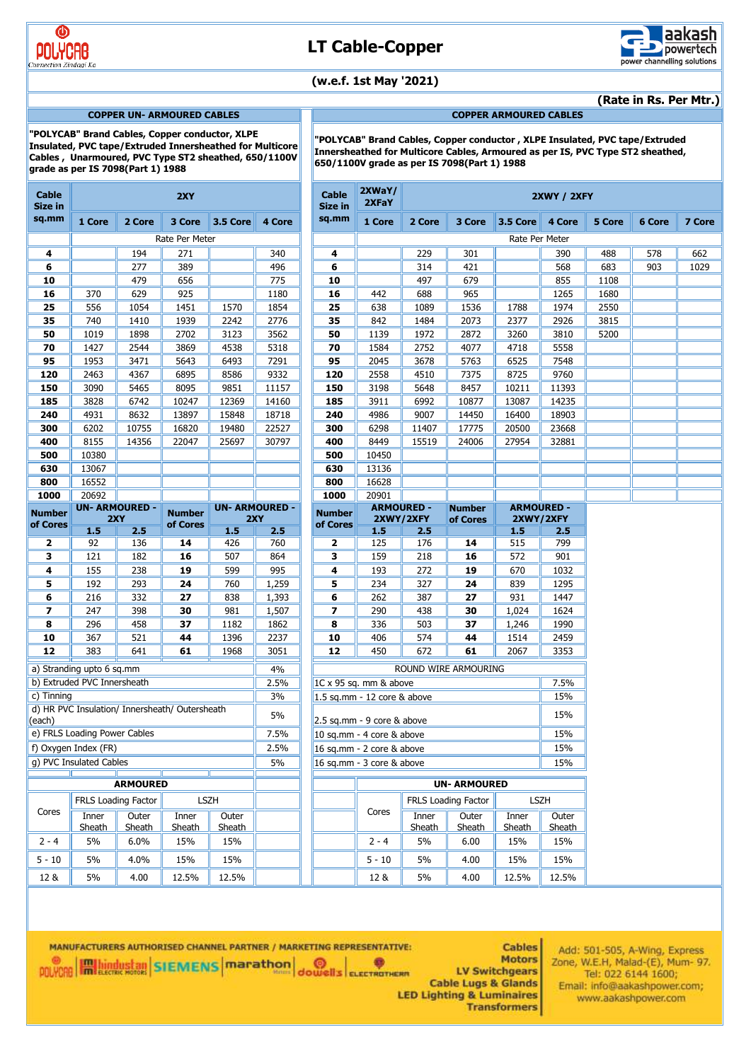



**(Rate in Rs. Per Mtr.)**

#### **COPPER UN- ARMOURED CABLES**

**"POLYCAB" Brand Cables, Copper conductor, XLPE Insulated, PVC tape/Extruded Innersheathed for Multicore Cables , Unarmoured, PVC Type ST2 sheathed, 650/1100V grade as per IS 7098(Part 1) 1988**

**"POLYCAB" Brand Cables, Copper conductor , XLPE Insulated, PVC tape/Extruded Innersheathed for Multicore Cables, Armoured as per IS, PVC Type ST2 sheathed, 650/1100V grade as per IS 7098(Part 1) 1988**

**COPPER ARMOURED CABLES**

| <b>Cable</b><br><b>Size in</b> |                              |                     | 2XY                                            |                 |                             | <b>Cable</b><br>Size in | 2XWaY/<br>2XFaY                                                     |                   |                      | 2XWY / 2XFY     |                   |        |        |        |
|--------------------------------|------------------------------|---------------------|------------------------------------------------|-----------------|-----------------------------|-------------------------|---------------------------------------------------------------------|-------------------|----------------------|-----------------|-------------------|--------|--------|--------|
| sq.mm                          | 1 Core                       | 2 Core              | 3 Core                                         | <b>3.5 Core</b> | 4 Core                      | sq.mm                   | 1 Core                                                              | 2 Core            | 3 Core               | <b>3.5 Core</b> | 4 Core            | 5 Core | 6 Core | 7 Core |
|                                |                              |                     | Rate Per Meter                                 |                 |                             |                         |                                                                     |                   |                      | Rate Per Meter  |                   |        |        |        |
| 4                              |                              | 194                 | 271                                            |                 | 340                         | 4                       |                                                                     | 229               | 301                  |                 | 390               | 488    | 578    | 662    |
| 6                              |                              | 277                 | 389                                            |                 | 496                         | 6                       |                                                                     | 314               | 421                  |                 | 568               | 683    | 903    | 1029   |
| 10                             |                              | 479                 | 656                                            |                 | 775                         | 10                      |                                                                     | 497               | 679                  |                 | 855               | 1108   |        |        |
| 16                             | 370                          | 629                 | 925                                            |                 | 1180                        | 16                      | 442                                                                 | 688               | 965                  |                 | 1265              | 1680   |        |        |
| 25                             | 556                          | 1054                | 1451                                           | 1570            | 1854                        | 25                      | 638                                                                 | 1089              | 1536                 | 1788            | 1974              | 2550   |        |        |
| 35                             | 740                          | 1410                | 1939                                           | 2242            | 2776                        | 35                      | 842                                                                 | 1484              | 2073                 | 2377            | 2926              | 3815   |        |        |
| 50                             | 1019                         | 1898                | 2702                                           | 3123            | 3562                        | 50                      | 1139                                                                | 1972              | 2872                 | 3260            | 3810              | 5200   |        |        |
| 70                             | 1427                         | 2544                | 3869                                           | 4538            | 5318                        | 70                      | 1584                                                                | 2752              | 4077                 | 4718            | 5558              |        |        |        |
| 95                             | 1953                         | 3471                | 5643                                           | 6493            | 7291                        | 95                      | 2045                                                                | 3678              | 5763                 | 6525            | 7548              |        |        |        |
| 120                            | 2463                         | 4367                | 6895                                           | 8586            | 9332                        | 120                     | 2558                                                                | 4510              | 7375                 | 8725            | 9760              |        |        |        |
| 150                            | 3090                         | 5465                | 8095                                           | 9851            | 11157                       | 150                     | 3198                                                                | 5648              | 8457                 | 10211           | 11393             |        |        |        |
| 185                            | 3828                         | 6742                | 10247                                          | 12369           | 14160                       | 185                     | 3911                                                                | 6992              | 10877                | 13087           | 14235             |        |        |        |
| 240                            | 4931                         | 8632                | 13897                                          | 15848           | 18718                       | 240                     | 4986                                                                | 9007              | 14450                | 16400           | 18903             |        |        |        |
| 300                            | 6202                         | 10755               | 16820                                          | 19480           | 22527                       | 300                     | 6298                                                                | 11407             | 17775                | 20500           | 23668             |        |        |        |
| 400                            | 8155                         | 14356               | 22047                                          | 25697           | 30797                       | 400                     | 8449                                                                | 15519             | 24006                | 27954           | 32881             |        |        |        |
| 500                            | 10380                        |                     |                                                |                 |                             | 500                     | 10450                                                               |                   |                      |                 |                   |        |        |        |
| 630                            | 13067                        |                     |                                                |                 |                             | 630                     | 13136                                                               |                   |                      |                 |                   |        |        |        |
| 800                            | 16552                        |                     |                                                |                 |                             | 800                     | 16628                                                               |                   |                      |                 |                   |        |        |        |
| 1000                           | 20692                        |                     |                                                |                 |                             | 1000                    | 20901                                                               |                   |                      |                 |                   |        |        |        |
| <b>Number</b>                  | <b>UN- ARMOURED -</b>        | 2XY                 | <b>Number</b>                                  |                 | <b>UN-ARMOURED -</b><br>2XY | <b>Number</b>           |                                                                     | <b>ARMOURED -</b> | <b>Number</b>        |                 | <b>ARMOURED -</b> |        |        |        |
| of Cores                       | 1.5                          | 2.5                 | of Cores                                       | 1.5             | 2.5                         |                         | 2XWY/2XFY<br>2XWY/2XFY<br>of Cores<br>of Cores<br>1.5<br>2.5<br>1.5 |                   |                      | 2.5             |                   |        |        |        |
| 2                              | 92                           | 136                 | 14                                             | 426             | 760                         | 2                       | 125                                                                 | 176               | 14                   | 515             | 799               |        |        |        |
| 3                              | 121                          | 182                 | 16                                             | 507             | 864                         | 3                       | 159                                                                 | 218               | 16                   | 572             | 901               |        |        |        |
| 4                              | 155                          | 238                 | 19                                             | 599             | 995                         | 4                       | 193                                                                 | 272               | 19                   | 670             | 1032              |        |        |        |
| 5                              | 192                          | 293                 | 24                                             | 760             | 1,259                       | 5                       | 234                                                                 | 327               | 24                   | 839             | 1295              |        |        |        |
| 6                              | 216                          | 332                 | 27                                             | 838             | 1,393                       | 6                       | 262                                                                 | 387               | 27                   | 931             | 1447              |        |        |        |
| $\overline{\mathbf{z}}$        | 247                          | 398                 | 30                                             | 981             | 1,507                       | 7                       | 290                                                                 | 438               | 30                   | 1,024           | 1624              |        |        |        |
| 8                              | 296                          | 458                 | 37                                             | 1182            | 1862                        | 8                       | 336                                                                 | 503               | 37                   | 1,246           | 1990              |        |        |        |
| 10                             | 367                          | 521                 | 44                                             | 1396            | 2237                        | 10                      | 406                                                                 | 574               | 44                   | 1514            | 2459              |        |        |        |
| 12                             | 383                          | 641                 | 61                                             | 1968            | 3051                        | 12                      | 450                                                                 | 672               | 61                   | 2067            | 3353              |        |        |        |
|                                | a) Stranding upto 6 sq.mm    |                     |                                                |                 | 4%                          |                         |                                                                     |                   | ROUND WIRE ARMOURING |                 |                   |        |        |        |
|                                | b) Extruded PVC Innersheath  |                     |                                                |                 | 2.5%                        |                         | 1C x 95 sq. mm & above                                              |                   |                      |                 | 7.5%              |        |        |        |
| c) Tinning                     |                              |                     |                                                |                 | 3%                          |                         | 1.5 sq.mm - 12 core & above                                         |                   |                      |                 | 15%               |        |        |        |
|                                |                              |                     | d) HR PVC Insulation/ Innersheath/ Outersheath |                 |                             |                         |                                                                     |                   |                      |                 |                   |        |        |        |
| (each)                         |                              |                     |                                                |                 | 5%                          |                         | 2.5 sq.mm - 9 core & above                                          |                   |                      |                 | 15%               |        |        |        |
|                                | e) FRLS Loading Power Cables |                     |                                                |                 | 7.5%                        |                         | 10 sq.mm - 4 core & above                                           |                   |                      |                 | 15%               |        |        |        |
|                                | f) Oxygen Index (FR)         |                     |                                                |                 | 2.5%                        |                         | 16 sq.mm - 2 core & above                                           |                   |                      |                 | 15%               |        |        |        |
|                                | g) PVC Insulated Cables      |                     |                                                |                 | 5%                          |                         | 16 sq.mm - 3 core & above                                           |                   |                      |                 | 15%               |        |        |        |
|                                |                              |                     |                                                |                 |                             |                         |                                                                     |                   |                      |                 |                   |        |        |        |
|                                |                              | <b>ARMOURED</b>     |                                                |                 |                             |                         |                                                                     |                   | <b>UN-ARMOURED</b>   |                 |                   |        |        |        |
| Cores                          |                              | FRLS Loading Factor |                                                | <b>LSZH</b>     |                             |                         | Cores                                                               |                   | FRLS Loading Factor  |                 | <b>LSZH</b>       |        |        |        |
|                                | Inner                        | Outer               | Inner                                          | Outer           |                             |                         |                                                                     | Inner             | Outer                | Inner           | Outer             |        |        |        |
|                                | Sheath                       | <b>Sheath</b>       | Sheath                                         | Sheath          |                             |                         |                                                                     | Sheath            | Sheath               | Sheath          | Sheath            |        |        |        |
| $2 - 4$                        | 5%                           | 6.0%                | 15%                                            | 15%             |                             |                         | $2 - 4$                                                             | 5%                | 6.00                 | 15%             | 15%               |        |        |        |
| $5 - 10$                       | 5%                           | 4.0%                | 15%                                            | 15%             |                             |                         | $5 - 10$                                                            | 5%                | 4.00                 | 15%             | 15%               |        |        |        |
| 12 &                           | 5%                           | 4.00                | 12.5%                                          | 12.5%           |                             |                         | 12 &                                                                | 5%                | 4.00                 | 12.5%           | 12.5%             |        |        |        |
|                                |                              |                     |                                                |                 |                             |                         |                                                                     |                   |                      |                 |                   |        |        |        |

**MANUFACTURERS AUTHORISED CHANNEL PARTNER / MARKETING REPRESENTATIVE: POLYCRE HALLMARK ADDRESS OF CONTRACT PARTNER OUVELLE** ELECTROTHERM

**Cables Motors LV Switchgears Cable Lugs & Glands LED Lighting & Luminaires Transformers**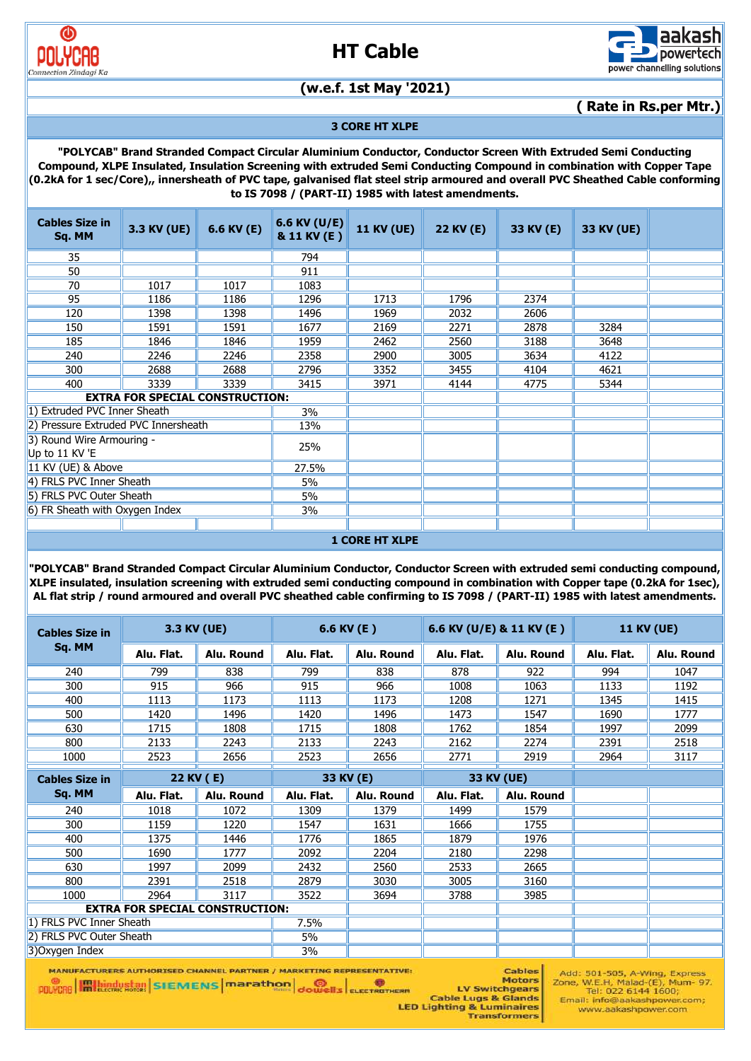



#### **( Rate in Rs.per Mtr.)**

**3 CORE HT XLPE**

**"POLYCAB" Brand Stranded Compact Circular Aluminium Conductor, Conductor Screen With Extruded Semi Conducting Compound, XLPE Insulated, Insulation Screening with extruded Semi Conducting Compound in combination with Copper Tape (0.2kA for 1 sec/Core),, innersheath of PVC tape, galvanised flat steel strip armoured and overall PVC Sheathed Cable conforming to IS 7098 / (PART-II) 1985 with latest amendments.**

| <b>Cables Size in</b><br>Sq. MM             | 3.3 KV (UE)                            | 6.6 KV (E) | 6.6 KV (U/E)<br>& 11 KV (E) | <b>11 KV (UE)</b>     | 22 KV (E) | 33 KV (E) | 33 KV (UE) |  |
|---------------------------------------------|----------------------------------------|------------|-----------------------------|-----------------------|-----------|-----------|------------|--|
| 35                                          |                                        |            | 794                         |                       |           |           |            |  |
| 50                                          |                                        |            | 911                         |                       |           |           |            |  |
| 70                                          | 1017                                   | 1017       | 1083                        |                       |           |           |            |  |
| 95                                          | 1186                                   | 1186       | 1296                        | 1713                  | 1796      | 2374      |            |  |
| 120                                         | 1398                                   | 1398       | 1496                        | 1969                  | 2032      | 2606      |            |  |
| 150                                         | 1591                                   | 1591       | 1677                        | 2169                  | 2271      | 2878      | 3284       |  |
| 185                                         | 1846                                   | 1846       | 1959                        | 2462                  | 2560      | 3188      | 3648       |  |
| 240                                         | 2246                                   | 2246       | 2358                        | 2900                  | 3005      | 3634      | 4122       |  |
| 300                                         | 2688                                   | 2688       | 2796                        | 3352                  | 3455      | 4104      | 4621       |  |
| 400                                         | 3339                                   | 3339       | 3415                        | 3971                  | 4144      | 4775      | 5344       |  |
|                                             | <b>EXTRA FOR SPECIAL CONSTRUCTION:</b> |            |                             |                       |           |           |            |  |
| 1) Extruded PVC Inner Sheath                |                                        |            | 3%                          |                       |           |           |            |  |
| 2) Pressure Extruded PVC Innersheath        |                                        |            | 13%                         |                       |           |           |            |  |
| 3) Round Wire Armouring -<br>Up to 11 KV 'E |                                        |            | 25%                         |                       |           |           |            |  |
| $11$ KV (UE) & Above                        |                                        |            | 27.5%                       |                       |           |           |            |  |
| 4) FRLS PVC Inner Sheath                    |                                        |            | 5%                          |                       |           |           |            |  |
| 5) FRLS PVC Outer Sheath                    |                                        |            | 5%                          |                       |           |           |            |  |
| 6) FR Sheath with Oxygen Index              |                                        |            | 3%                          |                       |           |           |            |  |
|                                             |                                        |            |                             |                       |           |           |            |  |
|                                             |                                        |            |                             | <b>1 CORE HT XLPE</b> |           |           |            |  |

**"POLYCAB" Brand Stranded Compact Circular Aluminium Conductor, Conductor Screen with extruded semi conducting compound, XLPE insulated, insulation screening with extruded semi conducting compound in combination with Copper tape (0.2kA for 1sec), AL flat strip / round armoured and overall PVC sheathed cable confirming to IS 7098 / (PART-II) 1985 with latest amendments.**

| <b>Cables Size in</b>    | 3.3 KV (UE) |                                        |            | $6.6$ KV $(E)$ | 6.6 KV (U/E) & 11 KV (E) |            |            | <b>11 KV (UE)</b> |
|--------------------------|-------------|----------------------------------------|------------|----------------|--------------------------|------------|------------|-------------------|
| Sq. MM                   | Alu. Flat.  | Alu. Round                             | Alu. Flat. | Alu. Round     | Alu. Flat.               | Alu. Round | Alu. Flat. | Alu. Round        |
| 240                      | 799         | 838                                    | 799        | 838            | 878                      | 922        | 994        | 1047              |
| 300                      | 915         | 966                                    | 915        | 966            | 1008                     | 1063       | 1133       | 1192              |
| 400                      | 1113        | 1173                                   | 1113       | 1173           | 1208                     | 1271       | 1345       | 1415              |
| 500                      | 1420        | 1496                                   | 1420       | 1496           | 1473                     | 1547       | 1690       | 1777              |
| 630                      | 1715        | 1808                                   | 1715       | 1808           | 1762                     | 1854       | 1997       | 2099              |
| 800                      | 2133        | 2243                                   | 2133       | 2243           | 2162                     | 2274       | 2391       | 2518              |
| 1000                     | 2523        | 2656                                   | 2523       | 2656           | 2771                     | 2919       | 2964       | 3117              |
| <b>Cables Size in</b>    |             | 22 KV (E)                              |            | 33 KV (E)      |                          | 33 KV (UE) |            |                   |
| Sq. MM                   | Alu. Flat.  | Alu. Round                             | Alu. Flat. | Alu. Round     | Alu. Flat.               | Alu. Round |            |                   |
| 240                      | 1018        | 1072                                   | 1309       | 1379           | 1499                     | 1579       |            |                   |
| 300                      | 1159        | 1220                                   | 1547       | 1631           | 1666                     | 1755       |            |                   |
| 400                      | 1375        | 1446                                   | 1776       | 1865           | 1879                     | 1976       |            |                   |
| 500                      | 1690        | 1777                                   | 2092       | 2204           | 2180                     | 2298       |            |                   |
| 630                      | 1997        | 2099                                   | 2432       | 2560           | 2533                     | 2665       |            |                   |
| 800                      | 2391        | 2518                                   | 2879       | 3030           | 3005                     | 3160       |            |                   |
| 1000                     | 2964        | 3117                                   | 3522       | 3694           | 3788                     | 3985       |            |                   |
|                          |             | <b>EXTRA FOR SPECIAL CONSTRUCTION:</b> |            |                |                          |            |            |                   |
| 1) FRLS PVC Inner Sheath |             |                                        | 7.5%       |                |                          |            |            |                   |
| 2) FRLS PVC Outer Sheath |             |                                        | 5%         |                |                          |            |            |                   |
| $3)$ Oxygen Index        |             |                                        | 3%         |                |                          |            |            |                   |

MANUFACTURERS AUTHORISED CHANNEL PARTNER / MARKETING REPRESENTATIVE: **POLYCAS HALLIAN SIEMENS Marathon 30 POLYCAS CLEETATION** 

Cables Motors LV Switchgears **Cable Lugs & Glands** LED Lighting & Luminaires<br>Transformers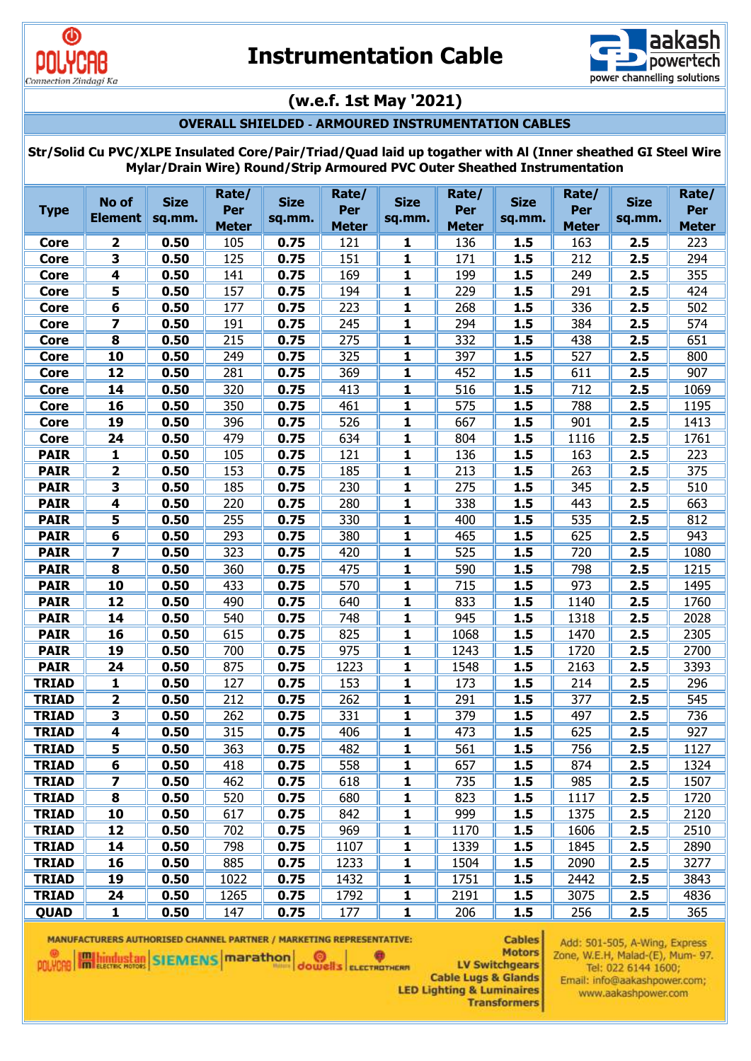



#### **OVERALL SHIELDED** ‐ **ARMOURED INSTRUMENTATION CABLES**

**Str/Solid Cu PVC/XLPE Insulated Core/Pair/Triad/Quad laid up togather with Al (Inner sheathed GI Steel Wire Mylar/Drain Wire) Round/Strip Armoured PVC Outer Sheathed Instrumentation**

| <b>Type</b>  | No of<br><b>Element</b> | <b>Size</b><br>sq.mm. | Rate/<br>Per<br><b>Meter</b> | <b>Size</b><br>sq.mm. | Rate/<br>Per<br><b>Meter</b> | <b>Size</b><br>sq.mm.   | Rate/<br>Per<br><b>Meter</b> | <b>Size</b><br>sq.mm. | Rate/<br>Per<br><b>Meter</b> | <b>Size</b><br>sq.mm. | Rate/<br>Per<br><b>Meter</b> |
|--------------|-------------------------|-----------------------|------------------------------|-----------------------|------------------------------|-------------------------|------------------------------|-----------------------|------------------------------|-----------------------|------------------------------|
| <b>Core</b>  | 2                       | 0.50                  | 105                          | 0.75                  | 121                          | 1                       | 136                          | 1.5                   | 163                          | 2.5                   | 223                          |
| <b>Core</b>  | 3                       | 0.50                  | 125                          | 0.75                  | 151                          | 1                       | 171                          | 1.5                   | 212                          | 2.5                   | 294                          |
| <b>Core</b>  | 4                       | 0.50                  | 141                          | 0.75                  | 169                          | $\mathbf{1}$            | 199                          | 1.5                   | 249                          | 2.5                   | 355                          |
| <b>Core</b>  | $\overline{\mathbf{5}}$ | 0.50                  | 157                          | 0.75                  | 194                          | $\mathbf{1}$            | 229                          | 1.5                   | 291                          | 2.5                   | 424                          |
| <b>Core</b>  | 6                       | 0.50                  | 177                          | 0.75                  | 223                          | $\mathbf{1}$            | 268                          | 1.5                   | 336                          | 2.5                   | 502                          |
| <b>Core</b>  | 7                       | 0.50                  | 191                          | 0.75                  | 245                          | $\overline{\mathbf{1}}$ | 294                          | 1.5                   | 384                          | 2.5                   | 574                          |
| <b>Core</b>  | $\overline{\mathbf{8}}$ | 0.50                  | 215                          | 0.75                  | 275                          | $\mathbf{1}$            | 332                          | 1.5                   | 438                          | 2.5                   | 651                          |
| <b>Core</b>  | 10                      | 0.50                  | 249                          | 0.75                  | 325                          | $\mathbf{1}$            | 397                          | 1.5                   | 527                          | 2.5                   | 800                          |
| <b>Core</b>  | $\overline{12}$         | 0.50                  | 281                          | 0.75                  | 369                          | 1                       | 452                          | 1.5                   | 611                          | 2.5                   | 907                          |
| <b>Core</b>  | 14                      | 0.50                  | 320                          | 0.75                  | 413                          | $\mathbf{1}$            | 516                          | 1.5                   | 712                          | 2.5                   | 1069                         |
| <b>Core</b>  | 16                      | 0.50                  | 350                          | 0.75                  | 461                          | 1                       | 575                          | 1.5                   | 788                          | 2.5                   | 1195                         |
| <b>Core</b>  | 19                      | 0.50                  | 396                          | 0.75                  | 526                          | $\mathbf{1}$            | 667                          | 1.5                   | 901                          | 2.5                   | 1413                         |
| <b>Core</b>  | 24                      | 0.50                  | 479                          | 0.75                  | 634                          | $\mathbf{1}$            | 804                          | 1.5                   | 1116                         | 2.5                   | 1761                         |
| <b>PAIR</b>  | 1                       | 0.50                  | 105                          | 0.75                  | 121                          | 1                       | 136                          | 1.5                   | 163                          | 2.5                   | 223                          |
| <b>PAIR</b>  | $\overline{\mathbf{2}}$ | 0.50                  | 153                          | 0.75                  | 185                          | $\mathbf{1}$            | 213                          | 1.5                   | 263                          | 2.5                   | 375                          |
| <b>PAIR</b>  | 3                       | 0.50                  | 185                          | 0.75                  | 230                          | $\mathbf{1}$            | 275                          | 1.5                   | 345                          | 2.5                   | 510                          |
| <b>PAIR</b>  | 4                       | 0.50                  | 220                          | 0.75                  | 280                          | $\mathbf{1}$            | 338                          | 1.5                   | 443                          | 2.5                   | 663                          |
| <b>PAIR</b>  | 5                       | 0.50                  | 255                          | 0.75                  | 330                          | $\mathbf{1}$            | 400                          | 1.5                   | 535                          | 2.5                   | 812                          |
| <b>PAIR</b>  | 6                       | 0.50                  | 293                          | 0.75                  | 380                          | $\overline{\mathbf{1}}$ | 465                          | 1.5                   | 625                          | 2.5                   | 943                          |
| <b>PAIR</b>  | 7                       | 0.50                  | 323                          | 0.75                  | 420                          | 1                       | 525                          | 1.5                   | 720                          | 2.5                   | 1080                         |
| <b>PAIR</b>  | 8                       | 0.50                  | 360                          | 0.75                  | 475                          | 1                       | 590                          | 1.5                   | 798                          | 2.5                   | 1215                         |
| <b>PAIR</b>  | 10                      | 0.50                  | 433                          | 0.75                  | 570                          | $\mathbf{1}$            | 715                          | 1.5                   | 973                          | 2.5                   | 1495                         |
| <b>PAIR</b>  | $\overline{12}$         | 0.50                  | 490                          | 0.75                  | 640                          | $\mathbf{1}$            | 833                          | 1.5                   | 1140                         | 2.5                   | 1760                         |
| <b>PAIR</b>  | 14                      | 0.50                  | 540                          | 0.75                  | 748                          | $\mathbf{1}$            | 945                          | 1.5                   | 1318                         | 2.5                   | 2028                         |
| <b>PAIR</b>  | 16                      | 0.50                  | 615                          | 0.75                  | 825                          | $\mathbf{1}$            | 1068                         | 1.5                   | 1470                         | 2.5                   | 2305                         |
| <b>PAIR</b>  | 19                      | 0.50                  | 700                          | 0.75                  | 975                          | $\mathbf{1}$            | 1243                         | 1.5                   | 1720                         | 2.5                   | 2700                         |
| <b>PAIR</b>  | 24                      | 0.50                  | 875                          | 0.75                  | 1223                         | 1                       | 1548                         | 1.5                   | 2163                         | 2.5                   | 3393                         |
| <b>TRIAD</b> | 1                       | 0.50                  | 127                          | 0.75                  | 153                          | 1                       | 173                          | 1.5                   | 214                          | 2.5                   | 296                          |
| <b>TRIAD</b> | $\overline{\mathbf{2}}$ | 0.50                  | 212                          | 0.75                  | 262                          | $\mathbf{1}$            | 291                          | 1.5                   | 377                          | 2.5                   | 545                          |
| <b>TRIAD</b> | $\overline{\mathbf{3}}$ | 0.50                  | 262                          | 0.75                  | 331                          | $\mathbf{1}$            | 379                          | 1.5                   | 497                          | 2.5                   | 736                          |
| <b>TRIAD</b> | 4                       | 0.50                  | 315                          | 0.75                  | 406                          | 1                       | 473                          | 1.5                   | 625                          | 2.5                   | 927                          |
| <b>TRIAD</b> | 5                       | 0.50                  | 363                          | 0.75                  | 482                          | $\overline{\mathbf{1}}$ | 561                          | 1.5                   | 756                          | 2.5                   | 1127                         |
| <b>TRIAD</b> | 6                       | 0.50                  | 418                          | 0.75                  | 558                          | 1                       | 657                          | 1.5                   | 874                          | 2.5                   | 1324                         |
| <b>TRIAD</b> | 7                       | 0.50                  | 462                          | 0.75                  | 618                          | 1                       | 735                          | 1.5                   | 985                          | 2.5                   | 1507                         |
| <b>TRIAD</b> | $\overline{\mathbf{8}}$ | 0.50                  | 520                          | 0.75                  | 680                          | $\mathbf{1}$            | 823                          | 1.5                   | 1117                         | 2.5                   | 1720                         |
| <b>TRIAD</b> | 10                      | 0.50                  | 617                          | 0.75                  | 842                          | $\mathbf{1}$            | 999                          | 1.5                   | 1375                         | 2.5                   | 2120                         |
| <b>TRIAD</b> | $\overline{12}$         | 0.50                  | 702                          | 0.75                  | 969                          | $\overline{\mathbf{1}}$ | 1170                         | 1.5                   | 1606                         | 2.5                   | 2510                         |
| <b>TRIAD</b> | 14                      | 0.50                  | 798                          | 0.75                  | 1107                         | $\mathbf{1}$            | 1339                         | 1.5                   | 1845                         | 2.5                   | 2890                         |
| <b>TRIAD</b> | 16                      | 0.50                  | 885                          | 0.75                  | 1233                         | 1                       | 1504                         | 1.5                   | 2090                         | 2.5                   | 3277                         |
| <b>TRIAD</b> | 19                      | 0.50                  | 1022                         | 0.75                  | 1432                         | 1                       | 1751                         | 1.5                   | 2442                         | 2.5                   | 3843                         |
| <b>TRIAD</b> | 24                      | 0.50                  | 1265                         | 0.75                  | 1792                         | 1                       | 2191                         | 1.5                   | 3075                         | 2.5                   | 4836                         |
| <b>QUAD</b>  | $\mathbf{1}$            | 0.50                  | 147                          | 0.75                  | 177                          | $\mathbf{1}$            | 206                          | 1.5                   | 256                          | 2.5                   | 365                          |

MANUFACTURERS AUTHORISED CHANNEL PARTNER / MARKETING REPRESENTATIVE:

POLYCRE **Hallingestag** SIEMENS **marathon** dowells ELECTROTHERM

**Cables Motors** LV Switchgears **Cable Lugs & Glands LED Lighting & Luminaires Transformers**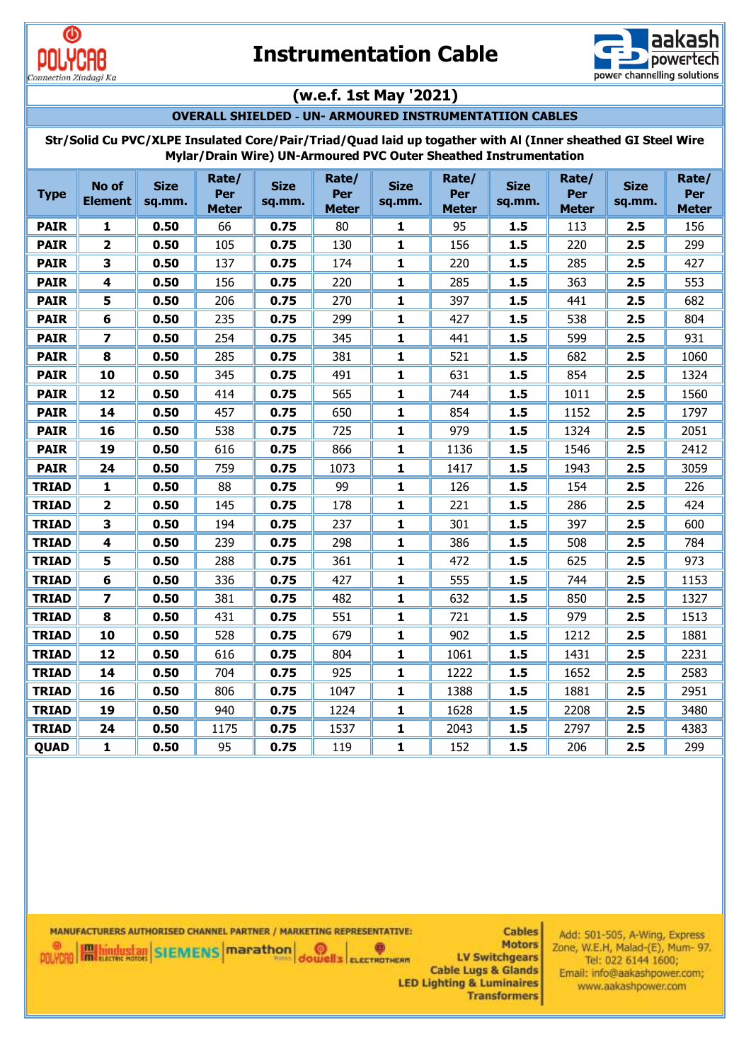



#### **OVERALL SHIELDED** ‐ **UN- ARMOURED INSTRUMENTATIION CABLES**

**Str/Solid Cu PVC/XLPE Insulated Core/Pair/Triad/Quad laid up togather with Al (Inner sheathed GI Steel Wire Mylar/Drain Wire) UN-Armoured PVC Outer Sheathed Instrumentation**

| <b>Type</b>  | No of<br><b>Element</b> | <b>Size</b><br>sq.mm. | Rate/<br>Per<br><b>Meter</b> | <b>Size</b><br>sq.mm. | Rate/<br>Per<br><b>Meter</b> | <b>Size</b><br>sq.mm. | Rate/<br>Per<br><b>Meter</b> | <b>Size</b><br>sq.mm. | Rate/<br>Per<br><b>Meter</b> | <b>Size</b><br>sq.mm. | Rate/<br>Per<br><b>Meter</b> |
|--------------|-------------------------|-----------------------|------------------------------|-----------------------|------------------------------|-----------------------|------------------------------|-----------------------|------------------------------|-----------------------|------------------------------|
| <b>PAIR</b>  | 1                       | 0.50                  | 66                           | 0.75                  | 80                           | 1                     | 95                           | 1.5                   | 113                          | 2.5                   | 156                          |
| <b>PAIR</b>  | $\overline{\mathbf{2}}$ | 0.50                  | 105                          | 0.75                  | 130                          | $\mathbf{1}$          | 156                          | 1.5                   | 220                          | 2.5                   | 299                          |
| <b>PAIR</b>  | 3                       | 0.50                  | 137                          | 0.75                  | 174                          | 1                     | 220                          | 1.5                   | 285                          | 2.5                   | 427                          |
| <b>PAIR</b>  | $\overline{\mathbf{4}}$ | 0.50                  | 156                          | 0.75                  | 220                          | $\mathbf{1}$          | 285                          | 1.5                   | 363                          | 2.5                   | 553                          |
| <b>PAIR</b>  | 5                       | 0.50                  | 206                          | 0.75                  | 270                          | $\mathbf{1}$          | 397                          | 1.5                   | 441                          | 2.5                   | 682                          |
| <b>PAIR</b>  | 6                       | 0.50                  | 235                          | 0.75                  | 299                          | $\mathbf{1}$          | 427                          | 1.5                   | 538                          | 2.5                   | 804                          |
| <b>PAIR</b>  | 7                       | 0.50                  | 254                          | 0.75                  | 345                          | 1                     | 441                          | 1.5                   | 599                          | 2.5                   | 931                          |
| <b>PAIR</b>  | 8                       | 0.50                  | 285                          | 0.75                  | 381                          | 1                     | 521                          | 1.5                   | 682                          | 2.5                   | 1060                         |
| <b>PAIR</b>  | 10                      | 0.50                  | 345                          | 0.75                  | 491                          | $\mathbf{1}$          | 631                          | 1.5                   | 854                          | 2.5                   | 1324                         |
| <b>PAIR</b>  | 12                      | 0.50                  | 414                          | 0.75                  | 565                          | 1                     | 744                          | 1.5                   | 1011                         | 2.5                   | 1560                         |
| <b>PAIR</b>  | 14                      | 0.50                  | 457                          | 0.75                  | 650                          | $\mathbf{1}$          | 854                          | 1.5                   | 1152                         | 2.5                   | 1797                         |
| <b>PAIR</b>  | 16                      | 0.50                  | 538                          | 0.75                  | 725                          | $\mathbf{1}$          | 979                          | 1.5                   | 1324                         | 2.5                   | 2051                         |
| <b>PAIR</b>  | 19                      | 0.50                  | 616                          | 0.75                  | 866                          | 1                     | 1136                         | 1.5                   | 1546                         | 2.5                   | 2412                         |
| <b>PAIR</b>  | 24                      | 0.50                  | 759                          | 0.75                  | 1073                         | 1                     | 1417                         | 1.5                   | 1943                         | 2.5                   | 3059                         |
| <b>TRIAD</b> | 1                       | 0.50                  | 88                           | 0.75                  | 99                           | $\mathbf{1}$          | 126                          | 1.5                   | 154                          | 2.5                   | 226                          |
| <b>TRIAD</b> | $\overline{\mathbf{2}}$ | 0.50                  | 145                          | 0.75                  | 178                          | $\mathbf{1}$          | 221                          | 1.5                   | 286                          | 2.5                   | 424                          |
| <b>TRIAD</b> | 3                       | 0.50                  | 194                          | 0.75                  | 237                          | 1                     | 301                          | 1.5                   | 397                          | 2.5                   | 600                          |
| <b>TRIAD</b> | 4                       | 0.50                  | 239                          | 0.75                  | 298                          | 1                     | 386                          | 1.5                   | 508                          | 2.5                   | 784                          |
| <b>TRIAD</b> | 5                       | 0.50                  | 288                          | 0.75                  | 361                          | 1                     | 472                          | 1.5                   | 625                          | 2.5                   | 973                          |
| <b>TRIAD</b> | 6                       | 0.50                  | 336                          | 0.75                  | 427                          | $\mathbf{1}$          | 555                          | 1.5                   | 744                          | 2.5                   | 1153                         |
| <b>TRIAD</b> | $\overline{\mathbf{z}}$ | 0.50                  | 381                          | 0.75                  | 482                          | $\mathbf{1}$          | 632                          | 1.5                   | 850                          | 2.5                   | 1327                         |
| <b>TRIAD</b> | 8                       | 0.50                  | 431                          | 0.75                  | 551                          | 1                     | 721                          | 1.5                   | 979                          | 2.5                   | 1513                         |
| <b>TRIAD</b> | 10                      | 0.50                  | 528                          | 0.75                  | 679                          | $\mathbf{1}$          | 902                          | 1.5                   | 1212                         | 2.5                   | 1881                         |
| <b>TRIAD</b> | 12                      | 0.50                  | 616                          | 0.75                  | 804                          | $\mathbf{1}$          | 1061                         | 1.5                   | 1431                         | 2.5                   | 2231                         |
| <b>TRIAD</b> | 14                      | 0.50                  | 704                          | 0.75                  | 925                          | 1                     | 1222                         | 1.5                   | 1652                         | 2.5                   | 2583                         |
| <b>TRIAD</b> | 16                      | 0.50                  | 806                          | 0.75                  | 1047                         | 1                     | 1388                         | 1.5                   | 1881                         | 2.5                   | 2951                         |
| <b>TRIAD</b> | 19                      | 0.50                  | 940                          | 0.75                  | 1224                         | $\mathbf{1}$          | 1628                         | 1.5                   | 2208                         | 2.5                   | 3480                         |
| <b>TRIAD</b> | 24                      | 0.50                  | 1175                         | 0.75                  | 1537                         | 1                     | 2043                         | 1.5                   | 2797                         | 2.5                   | 4383                         |
| QUAD         | 1                       | 0.50                  | 95                           | 0.75                  | 119                          | $\mathbf{1}$          | 152                          | 1.5                   | 206                          | 2.5                   | 299                          |

MANUFACTURERS AUTHORISED CHANNEL PARTNER / MARKETING REPRESENTATIVE: **ON THE REAL ENERGY CONSIDERED AND REAL PROPERTY OF A REAL PROPERTY OF A REAL PROPERTY OF A REAL PROPERTY OF A REAL PROPERTY OF A REAL PROPERTY OF A REAL PROPERTY OF A REAL PROPERTY OF A REAL PROPERTY OF A REAL PROPERTY OF** 

**Motors** LV Switchgears **Cable Lugs & Glands LED Lighting & Luminaires Transformers** 

**Cables**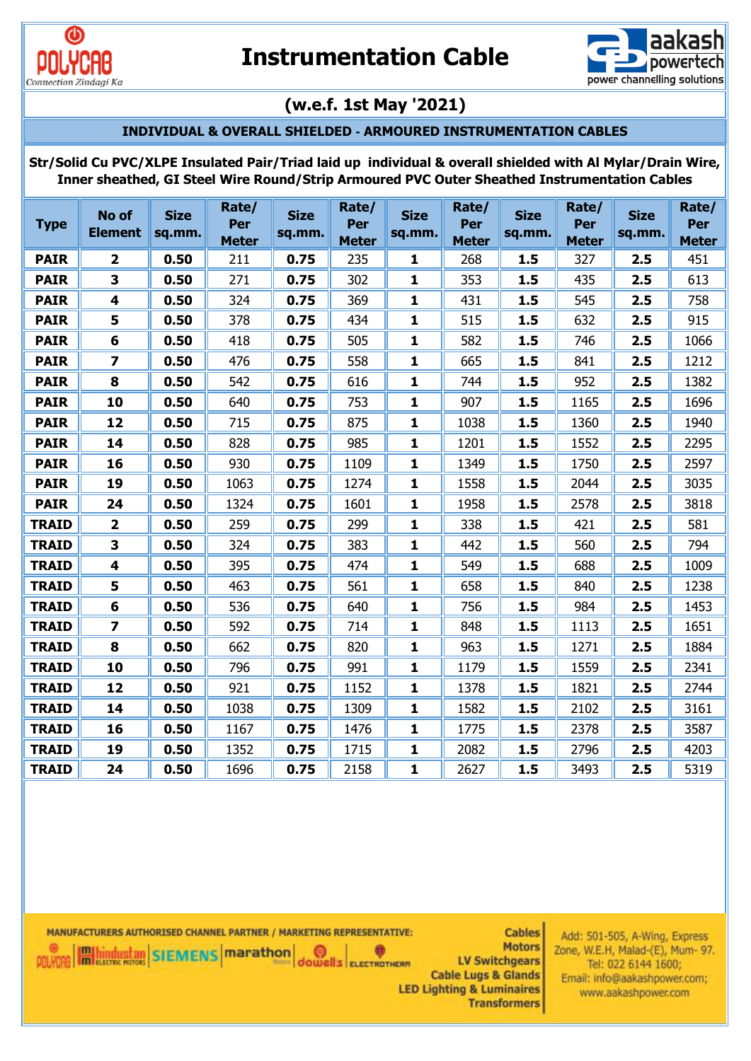



# **INDIVIDUAL & OVERALL SHIELDED** ‐ **ARMOURED INSTRUMENTATION CABLES**

**Str/Solid Cu PVC/XLPE Insulated Pair/Triad laid up individual & overall shielded with Al Mylar/Drain Wire, Inner sheathed, GI Steel Wire Round/Strip Armoured PVC Outer Sheathed Instrumentation Cables**

| <b>Type</b>  | No of<br><b>Element</b> | <b>Size</b><br>sq.mm. | Rate/<br>Per<br><b>Meter</b> | <b>Size</b><br>sq.mm. | Rate/<br>Per<br><b>Meter</b> | <b>Size</b><br>sq.mm. | Rate/<br>Per<br><b>Meter</b> | <b>Size</b><br>sq.mm. | Rate/<br>Per<br><b>Meter</b> | <b>Size</b><br>sq.mm. | Rate/<br>Per<br><b>Meter</b> |
|--------------|-------------------------|-----------------------|------------------------------|-----------------------|------------------------------|-----------------------|------------------------------|-----------------------|------------------------------|-----------------------|------------------------------|
| <b>PAIR</b>  | $\overline{\mathbf{2}}$ | 0.50                  | 211                          | 0.75                  | 235                          | 1                     | 268                          | 1.5                   | 327                          | 2.5                   | 451                          |
| <b>PAIR</b>  | 3                       | 0.50                  | 271                          | 0.75                  | 302                          | $\mathbf{1}$          | 353                          | 1.5                   | 435                          | 2.5                   | 613                          |
| <b>PAIR</b>  | 4                       | 0.50                  | 324                          | 0.75                  | 369                          | $\mathbf{1}$          | 431                          | 1.5                   | 545                          | 2.5                   | 758                          |
| <b>PAIR</b>  | 5                       | 0.50                  | 378                          | 0.75                  | 434                          | $\mathbf{1}$          | 515                          | 1.5                   | 632                          | 2.5                   | 915                          |
| <b>PAIR</b>  | 6                       | 0.50                  | 418                          | 0.75                  | 505                          | $\mathbf{1}$          | 582                          | 1.5                   | 746                          | 2.5                   | 1066                         |
| <b>PAIR</b>  | 7                       | 0.50                  | 476                          | 0.75                  | 558                          | $\mathbf{1}$          | 665                          | 1.5                   | 841                          | 2.5                   | 1212                         |
| <b>PAIR</b>  | 8                       | 0.50                  | 542                          | 0.75                  | 616                          | $\mathbf{1}$          | 744                          | 1.5                   | 952                          | 2.5                   | 1382                         |
| <b>PAIR</b>  | 10                      | 0.50                  | 640                          | 0.75                  | 753                          | $\mathbf{1}$          | 907                          | 1.5                   | 1165                         | 2.5                   | 1696                         |
| <b>PAIR</b>  | 12                      | 0.50                  | 715                          | 0.75                  | 875                          | $\mathbf{1}$          | 1038                         | 1.5                   | 1360                         | 2.5                   | 1940                         |
| <b>PAIR</b>  | 14                      | 0.50                  | 828                          | 0.75                  | 985                          | $\mathbf{1}$          | 1201                         | 1.5                   | 1552                         | 2.5                   | 2295                         |
| <b>PAIR</b>  | 16                      | 0.50                  | 930                          | 0.75                  | 1109                         | $\mathbf{1}$          | 1349                         | 1.5                   | 1750                         | 2.5                   | 2597                         |
| <b>PAIR</b>  | 19                      | 0.50                  | 1063                         | 0.75                  | 1274                         | $\mathbf{1}$          | 1558                         | 1.5                   | 2044                         | 2.5                   | 3035                         |
| <b>PAIR</b>  | 24                      | 0.50                  | 1324                         | 0.75                  | 1601                         | $\mathbf{1}$          | 1958                         | 1.5                   | 2578                         | 2.5                   | 3818                         |
| <b>TRAID</b> | $\overline{\mathbf{2}}$ | 0.50                  | 259                          | 0.75                  | 299                          | $\mathbf{1}$          | 338                          | 1.5                   | 421                          | 2.5                   | 581                          |
| <b>TRAID</b> | 3                       | 0.50                  | 324                          | 0.75                  | 383                          | $\mathbf{1}$          | 442                          | 1.5                   | 560                          | 2.5                   | 794                          |
| <b>TRAID</b> | 4                       | 0.50                  | 395                          | 0.75                  | 474                          | $\mathbf{1}$          | 549                          | 1.5                   | 688                          | 2.5                   | 1009                         |
| <b>TRAID</b> | 5                       | 0.50                  | 463                          | 0.75                  | 561                          | $\mathbf{1}$          | 658                          | 1.5                   | 840                          | 2.5                   | 1238                         |
| <b>TRAID</b> | 6                       | 0.50                  | 536                          | 0.75                  | 640                          | $\mathbf{1}$          | 756                          | 1.5                   | 984                          | 2.5                   | 1453                         |
| <b>TRAID</b> | $\overline{\mathbf{z}}$ | 0.50                  | 592                          | 0.75                  | 714                          | $\mathbf{1}$          | 848                          | 1.5                   | 1113                         | 2.5                   | 1651                         |
| <b>TRAID</b> | 8                       | 0.50                  | 662                          | 0.75                  | 820                          | $\mathbf{1}$          | 963                          | 1.5                   | 1271                         | 2.5                   | 1884                         |
| <b>TRAID</b> | 10                      | 0.50                  | 796                          | 0.75                  | 991                          | $\mathbf{1}$          | 1179                         | 1.5                   | 1559                         | 2.5                   | 2341                         |
| <b>TRAID</b> | 12                      | 0.50                  | 921                          | 0.75                  | 1152                         | $\mathbf{1}$          | 1378                         | 1.5                   | 1821                         | 2.5                   | 2744                         |
| <b>TRAID</b> | 14                      | 0.50                  | 1038                         | 0.75                  | 1309                         | $\mathbf{1}$          | 1582                         | 1.5                   | 2102                         | 2.5                   | 3161                         |
| <b>TRAID</b> | 16                      | 0.50                  | 1167                         | 0.75                  | 1476                         | $\mathbf{1}$          | 1775                         | 1.5                   | 2378                         | 2.5                   | 3587                         |
| <b>TRAID</b> | 19                      | 0.50                  | 1352                         | 0.75                  | 1715                         | $\mathbf{1}$          | 2082                         | 1.5                   | 2796                         | 2.5                   | 4203                         |
| <b>TRAID</b> | 24                      | 0.50                  | 1696                         | 0.75                  | 2158                         | $\mathbf{1}$          | 2627                         | 1.5                   | 3493                         | 2.5                   | 5319                         |

MANUFACTURERS AUTHORISED CHANNEL PARTNER / MARKETING REPRESENTATIVE:

 $\bullet$ 

G

**Manufacture SCIEMENS** marathon

**Cables Motors** LV Switchgears dowell's ELECTROTHERM **Cable Lugs & Glands LED Lighting & Luminaires Transformers**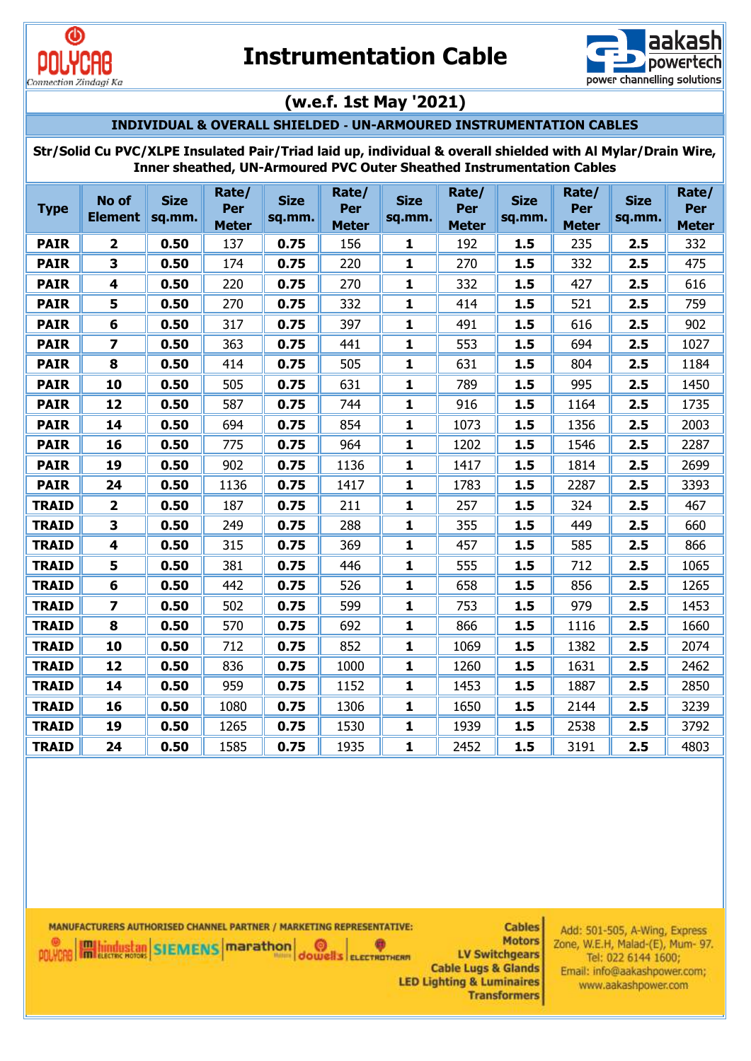



### **INDIVIDUAL & OVERALL SHIELDED** ‐ **UN-ARMOURED INSTRUMENTATION CABLES**

**Str/Solid Cu PVC/XLPE Insulated Pair/Triad laid up, individual & overall shielded with Al Mylar/Drain Wire, Inner sheathed, UN-Armoured PVC Outer Sheathed Instrumentation Cables**

| <b>Type</b>  | No of<br><b>Element</b> | <b>Size</b><br>sq.mm. | Rate/<br>Per<br><b>Meter</b> | <b>Size</b><br>sq.mm. | Rate/<br>Per<br><b>Meter</b> | <b>Size</b><br>sq.mm. | Rate/<br>Per<br><b>Meter</b> | <b>Size</b><br>sq.mm. | Rate/<br>Per<br><b>Meter</b> | <b>Size</b><br>sq.mm. | Rate/<br>Per<br><b>Meter</b> |
|--------------|-------------------------|-----------------------|------------------------------|-----------------------|------------------------------|-----------------------|------------------------------|-----------------------|------------------------------|-----------------------|------------------------------|
| <b>PAIR</b>  | $\overline{\mathbf{2}}$ | 0.50                  | 137                          | 0.75                  | 156                          | 1                     | 192                          | 1.5                   | 235                          | 2.5                   | 332                          |
| <b>PAIR</b>  | 3                       | 0.50                  | 174                          | 0.75                  | 220                          | 1                     | 270                          | 1.5                   | 332                          | 2.5                   | 475                          |
| <b>PAIR</b>  | 4                       | 0.50                  | 220                          | 0.75                  | 270                          | 1                     | 332                          | 1.5                   | 427                          | 2.5                   | 616                          |
| <b>PAIR</b>  | 5                       | 0.50                  | 270                          | 0.75                  | 332                          | 1                     | 414                          | 1.5                   | 521                          | 2.5                   | 759                          |
| <b>PAIR</b>  | $6\phantom{1}6$         | 0.50                  | 317                          | 0.75                  | 397                          | 1                     | 491                          | 1.5                   | 616                          | 2.5                   | 902                          |
| <b>PAIR</b>  | $\overline{z}$          | 0.50                  | 363                          | 0.75                  | 441                          | 1                     | 553                          | 1.5                   | 694                          | 2.5                   | 1027                         |
| <b>PAIR</b>  | 8                       | 0.50                  | 414                          | 0.75                  | 505                          | 1                     | 631                          | 1.5                   | 804                          | 2.5                   | 1184                         |
| <b>PAIR</b>  | 10                      | 0.50                  | 505                          | 0.75                  | 631                          | 1                     | 789                          | 1.5                   | 995                          | 2.5                   | 1450                         |
| <b>PAIR</b>  | 12                      | 0.50                  | 587                          | 0.75                  | 744                          | 1                     | 916                          | 1.5                   | 1164                         | 2.5                   | 1735                         |
| <b>PAIR</b>  | 14                      | 0.50                  | 694                          | 0.75                  | 854                          | 1                     | 1073                         | 1.5                   | 1356                         | 2.5                   | 2003                         |
| <b>PAIR</b>  | 16                      | 0.50                  | 775                          | 0.75                  | 964                          | $\mathbf{1}$          | 1202                         | 1.5                   | 1546                         | 2.5                   | 2287                         |
| <b>PAIR</b>  | 19                      | 0.50                  | 902                          | 0.75                  | 1136                         | 1                     | 1417                         | 1.5                   | 1814                         | 2.5                   | 2699                         |
| <b>PAIR</b>  | 24                      | 0.50                  | 1136                         | 0.75                  | 1417                         | $\mathbf{1}$          | 1783                         | 1.5                   | 2287                         | 2.5                   | 3393                         |
| <b>TRAID</b> | $\overline{\mathbf{2}}$ | 0.50                  | 187                          | 0.75                  | 211                          | 1                     | 257                          | 1.5                   | 324                          | 2.5                   | 467                          |
| <b>TRAID</b> | 3                       | 0.50                  | 249                          | 0.75                  | 288                          | 1                     | 355                          | 1.5                   | 449                          | 2.5                   | 660                          |
| <b>TRAID</b> | 4                       | 0.50                  | 315                          | 0.75                  | 369                          | 1                     | 457                          | 1.5                   | 585                          | 2.5                   | 866                          |
| <b>TRAID</b> | 5                       | 0.50                  | 381                          | 0.75                  | 446                          | 1                     | 555                          | 1.5                   | 712                          | 2.5                   | 1065                         |
| <b>TRAID</b> | $6\phantom{1}6$         | 0.50                  | 442                          | 0.75                  | 526                          | $\mathbf{1}$          | 658                          | 1.5                   | 856                          | 2.5                   | 1265                         |
| <b>TRAID</b> | $\overline{\mathbf{z}}$ | 0.50                  | 502                          | 0.75                  | 599                          | 1                     | 753                          | 1.5                   | 979                          | 2.5                   | 1453                         |
| <b>TRAID</b> | 8                       | 0.50                  | 570                          | 0.75                  | 692                          | $\mathbf{1}$          | 866                          | 1.5                   | 1116                         | 2.5                   | 1660                         |
| <b>TRAID</b> | 10                      | 0.50                  | 712                          | 0.75                  | 852                          | 1                     | 1069                         | 1.5                   | 1382                         | 2.5                   | 2074                         |
| <b>TRAID</b> | 12                      | 0.50                  | 836                          | 0.75                  | 1000                         | 1                     | 1260                         | 1.5                   | 1631                         | 2.5                   | 2462                         |
| <b>TRAID</b> | 14                      | 0.50                  | 959                          | 0.75                  | 1152                         | 1                     | 1453                         | 1.5                   | 1887                         | 2.5                   | 2850                         |
| <b>TRAID</b> | 16                      | 0.50                  | 1080                         | 0.75                  | 1306                         | 1                     | 1650                         | 1.5                   | 2144                         | 2.5                   | 3239                         |
| <b>TRAID</b> | 19                      | 0.50                  | 1265                         | 0.75                  | 1530                         | 1                     | 1939                         | 1.5                   | 2538                         | 2.5                   | 3792                         |
| <b>TRAID</b> | 24                      | 0.50                  | 1585                         | 0.75                  | 1935                         | 1                     | 2452                         | 1.5                   | 3191                         | 2.5                   | 4803                         |

MANUFACTURERS AUTHORISED CHANNEL PARTNER / MARKETING REPRESENTATIVE: POLYCAR **Hallingestap** SIEMENS marathon

**Motors O LV Switchgears Cable Lugs & Glands LED Lighting & Luminaires Transformers** 

0

**Cables**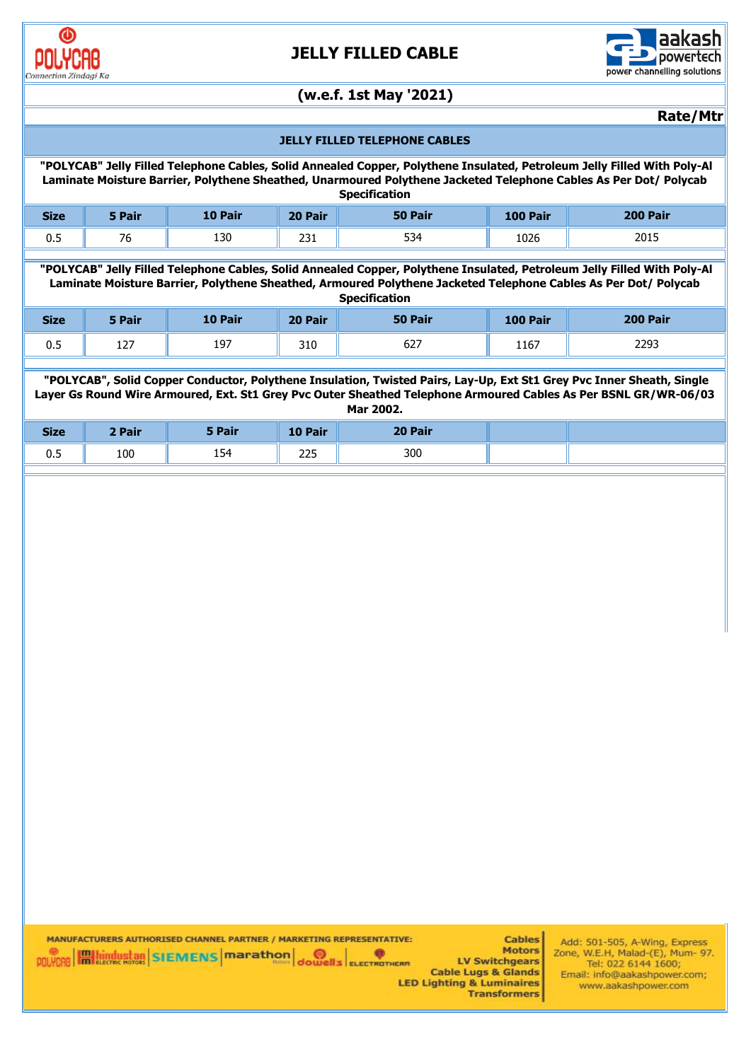

# **JELLY FILLED CABLE**



#### **(w.e.f. 1st May '2021)**

**Rate/Mtr**

#### **JELLY FILLED TELEPHONE CABLES**

 **"POLYCAB" Jelly Filled Telephone Cables, Solid Annealed Copper, Polythene Insulated, Petroleum Jelly Filled With Poly-Al Laminate Moisture Barrier, Polythene Sheathed, Unarmoured Polythene Jacketed Telephone Cables As Per Dot/ Polycab Specification** 

| <b>Size</b>         | 5 Pair | 10 Pair | 20 Pair            | 50 Pair | 100 Pair | 200 Pair |
|---------------------|--------|---------|--------------------|---------|----------|----------|
| $\sim$ $\sim$<br>υ. | 76     | 130     | 221<br>791<br>____ | 534     | 1026     | 2015     |

 **"POLYCAB" Jelly Filled Telephone Cables, Solid Annealed Copper, Polythene Insulated, Petroleum Jelly Filled With Poly-Al Laminate Moisture Barrier, Polythene Sheathed, Armoured Polythene Jacketed Telephone Cables As Per Dot/ Polycab Specification** 

| <b>Size</b>   | 5 Pair | 10 Pair | 20 Pair | 50 Pair | 100 Pair | 200 Pair |
|---------------|--------|---------|---------|---------|----------|----------|
| $\sim$<br>υ.υ | 127    | 197     | 310     | 627     | 1167     | 2293     |

 **"POLYCAB", Solid Copper Conductor, Polythene Insulation, Twisted Pairs, Lay-Up, Ext St1 Grey Pvc Inner Sheath, Single Layer Gs Round Wire Armoured, Ext. St1 Grey Pvc Outer Sheathed Telephone Armoured Cables As Per BSNL GR/WR-06/03 Mar 2002.** 

| <b>Size</b>                 | 2 Pair | 5 Pair | 10 Pair    | 20 Pair |  |
|-----------------------------|--------|--------|------------|---------|--|
| $\sim$ $\sim$<br><b>U.J</b> | 100    | 154    | 22F<br>225 | 300     |  |

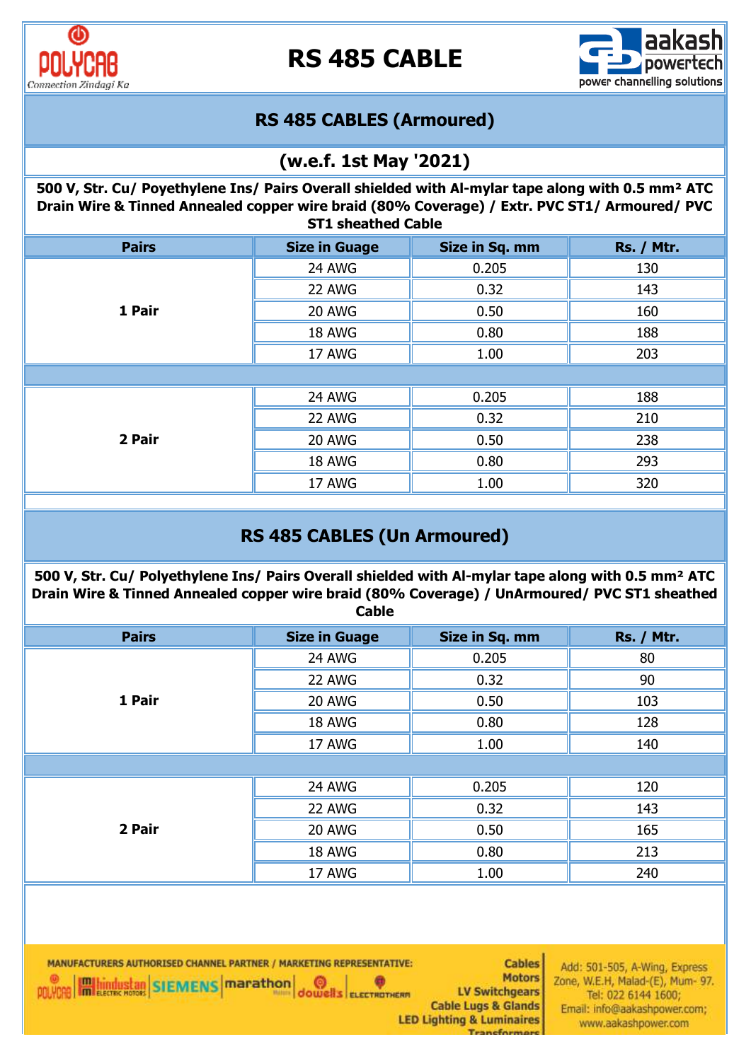

# **RS 485 CABLE**



# **RS 485 CABLES (Armoured)**

# **(w.e.f. 1st May '2021)**

**500 V, Str. Cu/ Poyethylene Ins/ Pairs Overall shielded with Al-mylar tape along with 0.5 mm² ATC Drain Wire & Tinned Annealed copper wire braid (80% Coverage) / Extr. PVC ST1/ Armoured/ PVC ST1 sheathed Cable**

| <b>Pairs</b> | <b>Size in Guage</b> | Size in Sq. mm | <b>Rs. / Mtr.</b> |
|--------------|----------------------|----------------|-------------------|
|              | 24 AWG               | 0.205          | 130               |
|              | 22 AWG               | 0.32           | 143               |
| 1 Pair       | 20 AWG               | 0.50           | 160               |
|              | 18 AWG               | 0.80           | 188               |
|              | 17 AWG               | 1.00           | 203               |
|              |                      |                |                   |
| 2 Pair       | 24 AWG               | 0.205          | 188               |
|              | 22 AWG               | 0.32           | 210               |
|              | 20 AWG               | 0.50           | 238               |
|              | 18 AWG               | 0.80           | 293               |
|              | 17 AWG               | 1.00           | 320               |

# **RS 485 CABLES (Un Armoured)**

**500 V, Str. Cu/ Polyethylene Ins/ Pairs Overall shielded with Al-mylar tape along with 0.5 mm² ATC Drain Wire & Tinned Annealed copper wire braid (80% Coverage) / UnArmoured/ PVC ST1 sheathed Cable**

| <b>Pairs</b> | <b>Size in Guage</b> | Size in Sq. mm | <b>Rs. / Mtr.</b> |  |  |
|--------------|----------------------|----------------|-------------------|--|--|
|              | 24 AWG               | 0.205          | 80                |  |  |
|              | 22 AWG               | 0.32           | 90                |  |  |
| 1 Pair       | 20 AWG               | 0.50           | 103               |  |  |
|              | 18 AWG               | 0.80           | 128               |  |  |
|              | 17 AWG               | 1.00           | 140               |  |  |
|              |                      |                |                   |  |  |
| 2 Pair       | 24 AWG               | 0.205          | 120               |  |  |
|              | 22 AWG               | 0.32           | 143               |  |  |
|              | 20 AWG               | 0.50           | 165               |  |  |
|              | 18 AWG               | 0.80           | 213               |  |  |
|              | 17 AWG               | 1.00           | 240               |  |  |

**SELECTROTHERM** 

MANUFACTURERS AUTHORISED CHANNEL PARTNER / MARKETING REPRESENTATIVE: **Minimustan** SIEMENS **marathon**  $\circ$ 

Cables **Motors LV Switchgears Cable Lugs & Glands LED Lighting & Luminaires** 

Tennesse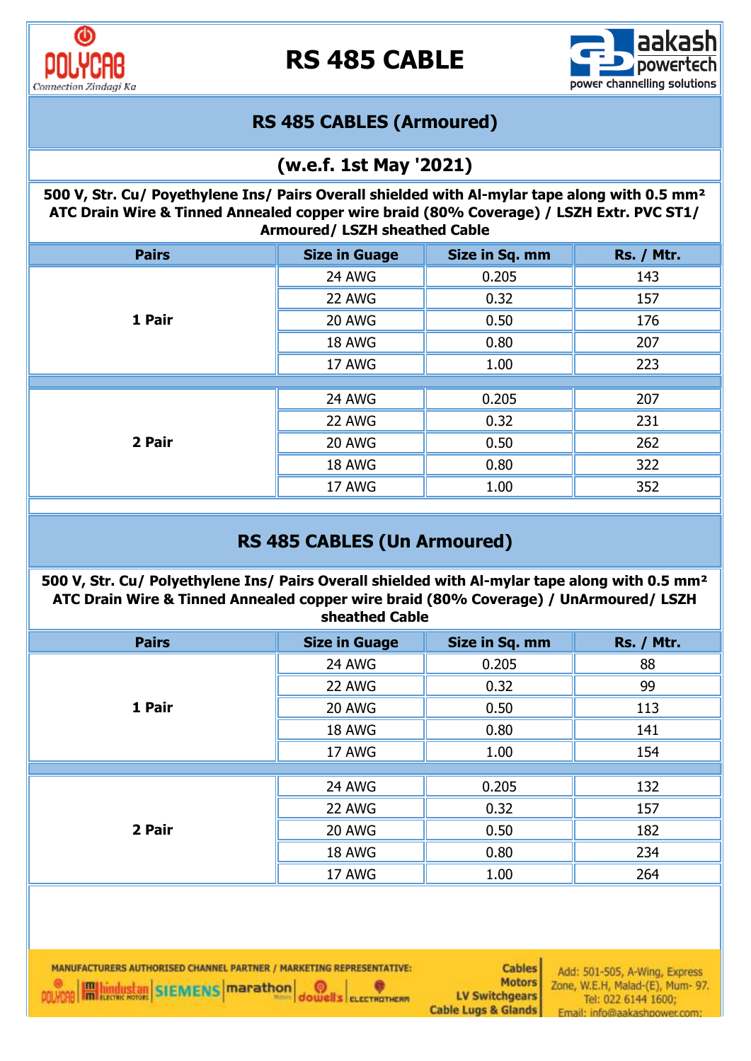

# **RS 485 CABLE**



# **RS 485 CABLES (Armoured)**

# **(w.e.f. 1st May '2021)**

**500 V, Str. Cu/ Poyethylene Ins/ Pairs Overall shielded with Al-mylar tape along with 0.5 mm² ATC Drain Wire & Tinned Annealed copper wire braid (80% Coverage) / LSZH Extr. PVC ST1/ Armoured/ LSZH sheathed Cable**

| <b>Pairs</b> | <b>Size in Guage</b> | Size in Sq. mm | <b>Rs. / Mtr.</b> |
|--------------|----------------------|----------------|-------------------|
|              | 24 AWG               | 0.205          | 143               |
|              | 22 AWG               | 0.32           | 157               |
| 1 Pair       | 20 AWG               | 0.50           | 176               |
|              | 18 AWG               | 0.80           | 207               |
|              | 17 AWG               | 1.00           | 223               |
|              |                      |                |                   |
|              | 24 AWG               | 0.205          | 207               |
|              | 22 AWG               | 0.32           | 231               |
| 2 Pair       | 20 AWG               | 0.50           | 262               |
|              | 18 AWG               | 0.80           | 322               |
|              | 17 AWG               | 1.00           | 352               |

# **RS 485 CABLES (Un Armoured)**

**500 V, Str. Cu/ Polyethylene Ins/ Pairs Overall shielded with Al-mylar tape along with 0.5 mm² ATC Drain Wire & Tinned Annealed copper wire braid (80% Coverage) / UnArmoured/ LSZH sheathed Cable**

| <b>Pairs</b> | <b>Size in Guage</b> | Size in Sq. mm | <b>Rs. / Mtr.</b> |
|--------------|----------------------|----------------|-------------------|
|              | 24 AWG               | 0.205          | 88                |
|              | 22 AWG               | 0.32           | 99                |
| 1 Pair       | 20 AWG               | 0.50           | 113               |
|              | 18 AWG               | 0.80           | 141               |
|              | 17 AWG               | 1.00           | 154               |
|              |                      |                |                   |
| 2 Pair       | 24 AWG               | 0.205          | 132               |
|              | 22 AWG               | 0.32           | 157               |
|              | 20 AWG               | 0.50           | 182               |
|              | 18 AWG               | 0.80           | 234               |
|              | 17 AWG               | 1.00           | 264               |

MANUFACTURERS AUTHORISED CHANNEL PARTNER / MARKETING REPRESENTATIVE: **DOLLYDRE HALL ARRAIGNMENT STEMENS Marathon** Θ e **dowells** ELECTROTHERM

**Cables Motors LV Switchgears Cable Lugs & Glands**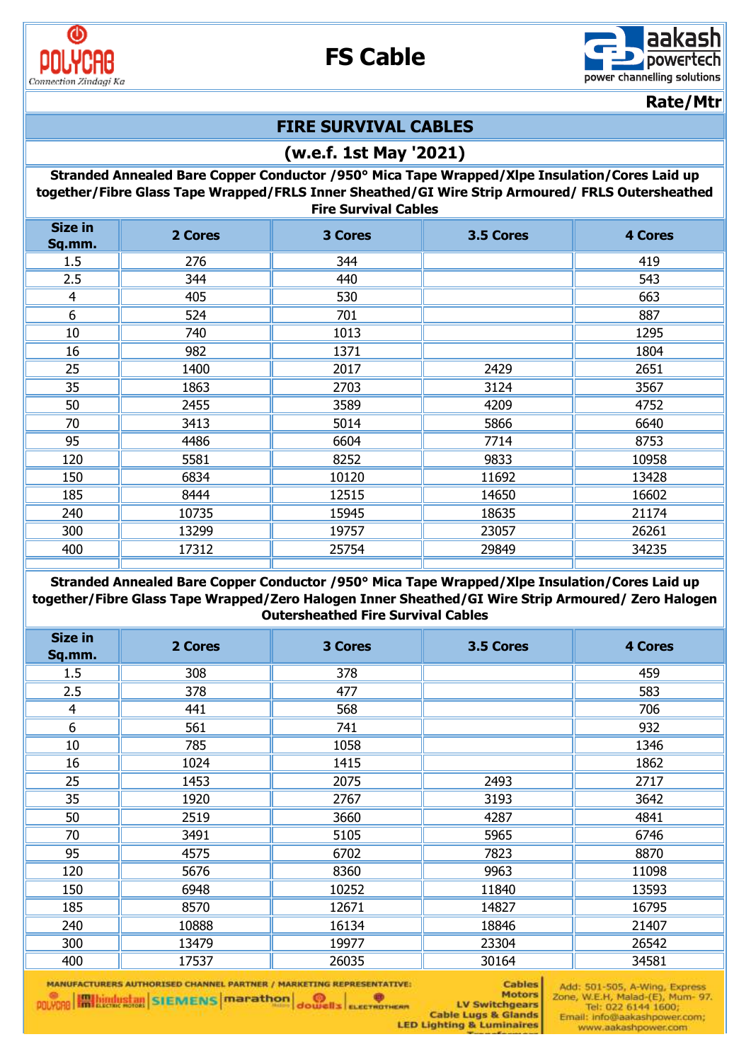

# **FS Cable**



**Rate/Mtr**

## **FIRE SURVIVAL CABLES**

### **(w.e.f. 1st May '2021)**

**Stranded Annealed Bare Copper Conductor /950° Mica Tape Wrapped/Xlpe Insulation/Cores Laid up together/Fibre Glass Tape Wrapped/FRLS Inner Sheathed/GI Wire Strip Armoured/ FRLS Outersheathed Fire Survival Cables**

| <b>Size in</b><br>Sq.mm. | 2 Cores | 3 Cores | 3.5 Cores | <b>4 Cores</b> |
|--------------------------|---------|---------|-----------|----------------|
| 1.5                      | 276     | 344     |           | 419            |
| 2.5                      | 344     | 440     |           | 543            |
| 4                        | 405     | 530     |           | 663            |
| 6                        | 524     | 701     |           | 887            |
| 10                       | 740     | 1013    |           | 1295           |
| 16                       | 982     | 1371    |           | 1804           |
| 25                       | 1400    | 2017    | 2429      | 2651           |
| 35                       | 1863    | 2703    | 3124      | 3567           |
| 50                       | 2455    | 3589    | 4209      | 4752           |
| 70                       | 3413    | 5014    | 5866      | 6640           |
| 95                       | 4486    | 6604    | 7714      | 8753           |
| 120                      | 5581    | 8252    | 9833      | 10958          |
| 150                      | 6834    | 10120   | 11692     | 13428          |
| 185                      | 8444    | 12515   | 14650     | 16602          |
| 240                      | 10735   | 15945   | 18635     | 21174          |
| 300                      | 13299   | 19757   | 23057     | 26261          |
| 400                      | 17312   | 25754   | 29849     | 34235          |
|                          |         |         |           |                |

**Stranded Annealed Bare Copper Conductor /950° Mica Tape Wrapped/Xlpe Insulation/Cores Laid up together/Fibre Glass Tape Wrapped/Zero Halogen Inner Sheathed/GI Wire Strip Armoured/ Zero Halogen Outersheathed Fire Survival Cables**

| <b>Size in</b><br>Sq.mm. | 2 Cores | 3 Cores | 3.5 Cores | <b>4 Cores</b> |
|--------------------------|---------|---------|-----------|----------------|
| 1.5                      | 308     | 378     |           | 459            |
| 2.5                      | 378     | 477     |           | 583            |
| 4                        | 441     | 568     |           | 706            |
| 6                        | 561     | 741     |           | 932            |
| 10                       | 785     | 1058    |           | 1346           |
| 16                       | 1024    | 1415    |           | 1862           |
| 25                       | 1453    | 2075    | 2493      | 2717           |
| 35                       | 1920    | 2767    | 3193      | 3642           |
| 50                       | 2519    | 3660    | 4287      | 4841           |
| 70                       | 3491    | 5105    | 5965      | 6746           |
| 95                       | 4575    | 6702    | 7823      | 8870           |
| 120                      | 5676    | 8360    | 9963      | 11098          |
| 150                      | 6948    | 10252   | 11840     | 13593          |
| 185                      | 8570    | 12671   | 14827     | 16795          |
| 240                      | 10888   | 16134   | 18846     | 21407          |
| 300                      | 13479   | 19977   | 23304     | 26542          |
| 400                      | 17537   | 26035   | 30164     | 34581          |

**MANUFACTURERS AUTHORISED CHANNEL PARTNER / MARKETING REPRESENTATIVE: POLYDRE EMINIONISM SIEMENS Marathon** dowells exernation

**Cables Motors** LV Switchgears **Cable Lugs & Glands** 

Add: 501-505, A-Wing, Express Zone, W.E.H, Malad-(E), Mum- 97. Tel: 022 6144 1600; Email: info@aakashpower.com; www.aakashpower.com

**LED Lighting & Luminaires**